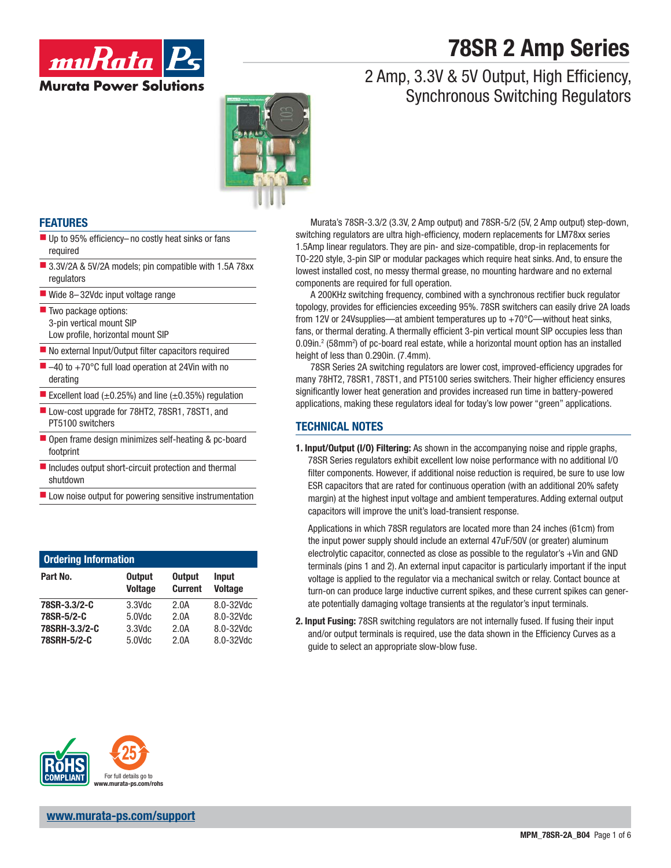# **78SR 2 Amp Series**

2 Amp, 3.3V & 5V Output, High Efficiency,

Synchronous Switching Regulators



#### **FEATURES**

- $\blacksquare$  Up to 95% efficiency-no costly heat sinks or fans required
- 3.3V/2A & 5V/2A models; pin compatible with 1.5A 78xx regulators
- Wide 8-32Vdc input voltage range
- Two package options: 3-pin vertical mount SIP Low profile, horizontal mount SIP
- $\blacksquare$  No external Input/Output filter capacitors required
- $-40$  to  $+70^{\circ}$ C full load operation at 24Vin with no derating
- Excellent load  $(\pm 0.25\%)$  and line  $(\pm 0.35\%)$  regulation
- Low-cost upgrade for 78HT2, 78SR1, 78ST1, and PT5100 switchers
- Open frame design minimizes self-heating & pc-board footprint
- $\blacksquare$  Includes output short-circuit protection and thermal shutdown
- $\blacksquare$  Low noise output for powering sensitive instrumentation

| <b>Ordering Information</b> |                                 |                                 |                                |  |
|-----------------------------|---------------------------------|---------------------------------|--------------------------------|--|
| Part No.                    | <b>Output</b><br><b>Voltage</b> | <b>Output</b><br><b>Current</b> | <b>Input</b><br><b>Voltage</b> |  |
| 78SR-3.3/2-C                | $3.3$ Vdc                       | 2.0A                            | 8.0-32Vdc                      |  |
| 78SR-5/2-C                  | $5.0$ Vdc                       | 2.0A                            | 8.0-32Vdc                      |  |
| 78SRH-3.3/2-C               | $3.3$ Vdc                       | 2.0A                            | 8.0-32Vdc                      |  |
| 78SRH-5/2-C                 | 5.0Vdc                          | 2.0A                            | 8.0-32Vdc                      |  |



**www.murata-ps.com/support**

Murata's 78SR-3.3/2 (3.3V, 2 Amp output) and 78SR-5/2 (5V, 2 Amp output) step-down, switching regulators are ultra high-efficiency, modern replacements for LM78xx series 1.5Amp linear regulators. They are pin- and size-compatible, drop-in replacements for TO-220 style, 3-pin SIP or modular packages which require heat sinks. And, to ensure the lowest installed cost, no messy thermal grease, no mounting hardware and no external components are required for full operation.

A 200KHz switching frequency, combined with a synchronous rectifier buck regulator topology, provides for efficiencies exceeding 95%. 78SR switchers can easily drive 2A loads from 12V or 24Vsupplies—at ambient temperatures up to +70°C—without heat sinks, fans, or thermal derating. A thermally efficient 3-pin vertical mount SIP occupies less than 0.09in.<sup>2</sup> (58mm<sup>2</sup>) of pc-board real estate, while a horizontal mount option has an installed height of less than 0.290in. (7.4mm).

78SR Series 2A switching regulators are lower cost, improved-efficiency upgrades for many 78HT2, 78SR1, 78ST1, and PT5100 series switchers. Their higher efficiency ensures significantly lower heat generation and provides increased run time in battery-powered applications, making these regulators ideal for today's low power "green" applications.

#### **TECHNICAL NOTES**

**1. Input/Output (I/O) Filtering:** As shown in the accompanying noise and ripple graphs, 78SR Series regulators exhibit excellent low noise performance with no additional I/O filter components. However, if additional noise reduction is required, be sure to use low ESR capacitors that are rated for continuous operation (with an additional 20% safety margin) at the highest input voltage and ambient temperatures. Adding external output capacitors will improve the unit's load-transient response.

 Applications in which 78SR regulators are located more than 24 inches (61cm) from the input power supply should include an external 47uF/50V (or greater) aluminum electrolytic capacitor, connected as close as possible to the regulator's +Vin and GND terminals (pins 1 and 2). An external input capacitor is particularly important if the input voltage is applied to the regulator via a mechanical switch or relay. Contact bounce at turn-on can produce large inductive current spikes, and these current spikes can generate potentially damaging voltage transients at the regulator's input terminals.

**2. Input Fusing:** 78SR switching regulators are not internally fused. If fusing their input and/or output terminals is required, use the data shown in the Efficiency Curves as a guide to select an appropriate slow-blow fuse.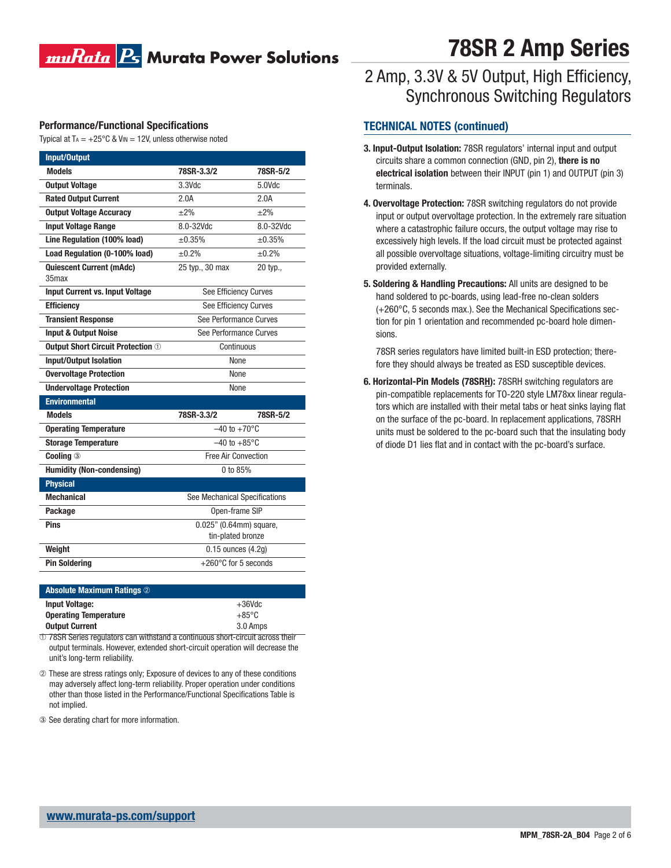### muRata Bs Murata Power Solutions

#### **Performance/Functional Specifications**

Typical at T<sub>A</sub> =  $+25^{\circ}$ C & V<sub>IN</sub> = 12V, unless otherwise noted

| Input/Output                             |                                |           |
|------------------------------------------|--------------------------------|-----------|
| <b>Models</b>                            | 78SR-3.3/2                     | 78SR-5/2  |
| <b>Output Voltage</b>                    | 3.3Vdc                         | 5.0Vdc    |
| <b>Rated Output Current</b>              | 2.0A                           | 2.0A      |
| <b>Output Voltage Accuracy</b>           | $\pm 2\%$                      | $\pm 2\%$ |
| <b>Input Voltage Range</b>               | 8.0-32Vdc                      | 8.0-32Vdc |
| Line Regulation (100% load)              | ±0.35%                         | ±0.35%    |
| Load Regulation (0-100% load)            | ±0.2%                          | ±0.2%     |
| <b>Quiescent Current (mAdc)</b><br>35max | 25 typ., 30 max                | 20 typ.,  |
| <b>Input Current vs. Input Voltage</b>   | See Efficiency Curves          |           |
| <b>Efficiency</b>                        | See Efficiency Curves          |           |
| <b>Transient Response</b>                | See Performance Curves         |           |
| <b>Input &amp; Output Noise</b>          | See Performance Curves         |           |
| <b>Output Short Circuit Protection 1</b> | Continuous                     |           |
| <b>Input/Output Isolation</b>            | None                           |           |
| <b>Overvoltage Protection</b>            | None                           |           |
| <b>Undervoltage Protection</b>           | None                           |           |
| <b>Environmental</b>                     |                                |           |
| <b>Models</b>                            | 78SR-3.3/2                     | 78SR-5/2  |
| <b>Operating Temperature</b>             | $-40$ to $+70^{\circ}$ C       |           |
| <b>Storage Temperature</b>               | $-40$ to $+85^{\circ}$ C       |           |
| <b>Cooling 3</b>                         | <b>Free Air Convection</b>     |           |
| <b>Humidity (Non-condensing)</b>         | 0 to 85%                       |           |
| <b>Physical</b>                          |                                |           |
| <b>Mechanical</b>                        | See Mechanical Specifications  |           |
| Package                                  | Open-frame SIP                 |           |
| <b>Pins</b>                              | 0.025" (0.64mm) square,        |           |
|                                          | tin-plated bronze              |           |
| Weight                                   | $0.15$ ounces $(4.2q)$         |           |
| <b>Pin Soldering</b>                     | $+260^{\circ}$ C for 5 seconds |           |

| <b>Absolute Maximum Ratings 2</b> |                 |  |
|-----------------------------------|-----------------|--|
| <b>Input Voltage:</b>             | $+36$ Vdc       |  |
| <b>Operating Temperature</b>      | $+85^{\circ}$ C |  |
| <b>Output Current</b>             | 3.0 Amps        |  |

➀ 78SR Series regulators can withstand a continuous short-circuit across their output terminals. However, extended short-circuit operation will decrease the unit's long-term reliability.

- ➁ These are stress ratings only; Exposure of devices to any of these conditions may adversely affect long-term reliability. Proper operation under conditions other than those listed in the Performance/Functional Specifications Table is not implied.
- ③ See derating chart for more information.

# **78SR 2 Amp Series**

### 2 Amp, 3.3V & 5V Output, High Efficiency, Synchronous Switching Regulators

#### **TECHNICAL NOTES (continued)**

- **3. Input-Output Isolation:** 78SR regulators' internal input and output circuits share a common connection (GND, pin 2), **there is no electrical isolation** between their INPUT (pin 1) and OUTPUT (pin 3) terminals.
- **4. Overvoltage Protection:** 78SR switching regulators do not provide input or output overvoltage protection. In the extremely rare situation where a catastrophic failure occurs, the output voltage may rise to excessively high levels. If the load circuit must be protected against all possible overvoltage situations, voltage-limiting circuitry must be provided externally.
- **5. Soldering & Handling Precautions:** All units are designed to be hand soldered to pc-boards, using lead-free no-clean solders  $(+260\degree C, 5$  seconds max.). See the Mechanical Specifications section for pin 1 orientation and recommended pc-board hole dimensions.

 78SR series regulators have limited built-in ESD protection; therefore they should always be treated as ESD susceptible devices.

**6. Horizontal-Pin Models (78SRH):** 78SRH switching regulators are pin-compatible replacements for TO-220 style LM78xx linear regulators which are installed with their metal tabs or heat sinks laying flat on the surface of the pc-board. In replacement applications, 78SRH units must be soldered to the pc-board such that the insulating body of diode D1 lies flat and in contact with the pc-board's surface.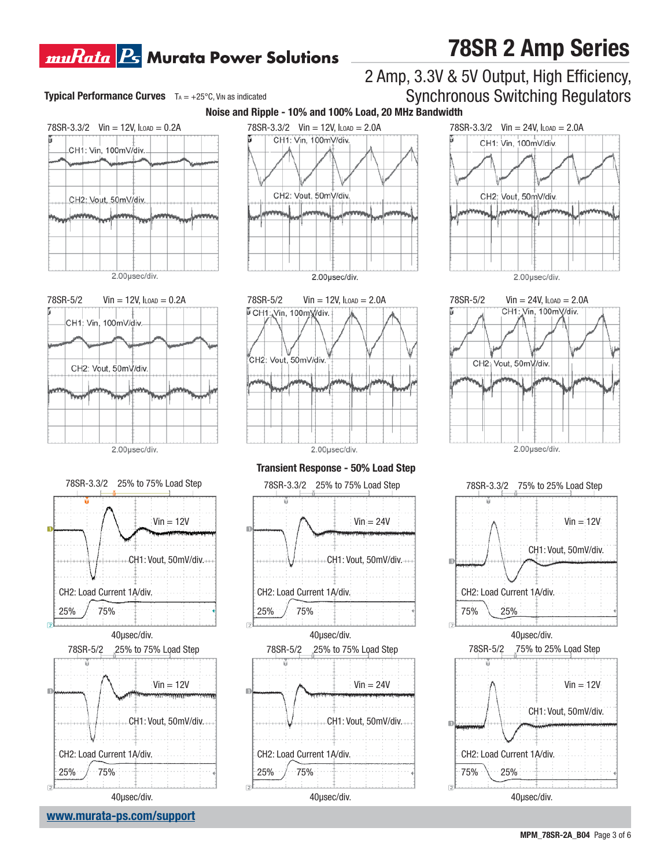## **muRata Bs** Murata Power Solutions

#### **Typical Performance Curves**  $T_A = +25^\circ \text{C}$ , VIN as indicated

# $78$ SR-3.3/2 Vin = 12V, ILOAD = 0.2A CH1: Vin, 100mV/div. CH2: Vout, 50mV/div. 2.00µsec/div.







**www.murata-ps.com/support** 40μsec/div.





**Transient Response - 50% Load Step** 





40μsec/div.

### 2 Amp, 3.3V & 5V Output, High Efficiency, Synchronous Switching Regulators



**78SR 2 Amp Series**







#### **MPM\_78SR-2A\_B04** Page 3 of 6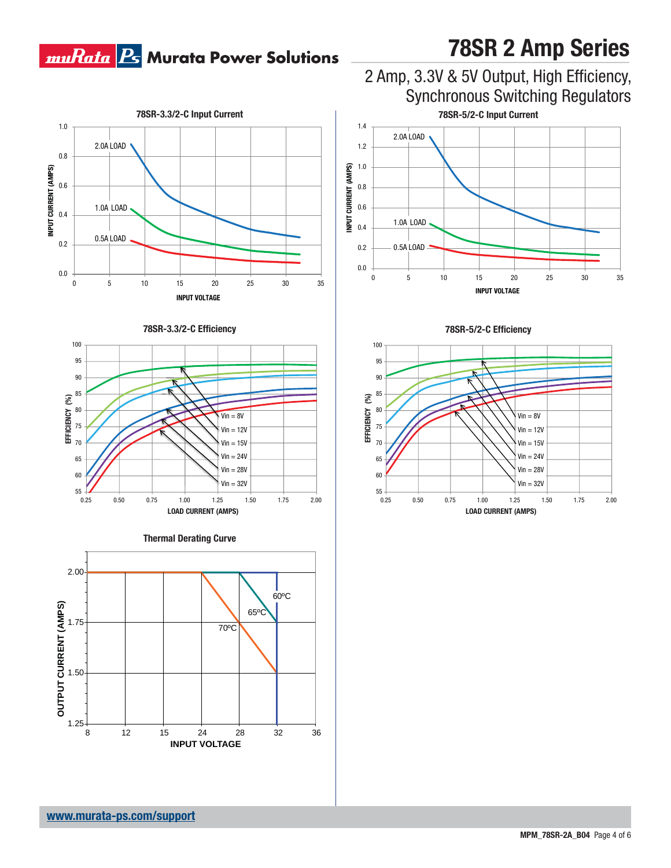# **muRata B** Murata Power Solutions

#### 1.0 2.0A LOAD 0.8 **INPUT CURRENT (AMPS) INPUT CURRENT (AMPS)** 0.6 1.0A LOAD 0.4 0.5A LOAD 0.2 0.0 0 5 10 15 20 25 30 35 **INPUT VOLTAGE**











**78SR 2 Amp Series**



0 5 10 15 20 25 30 35



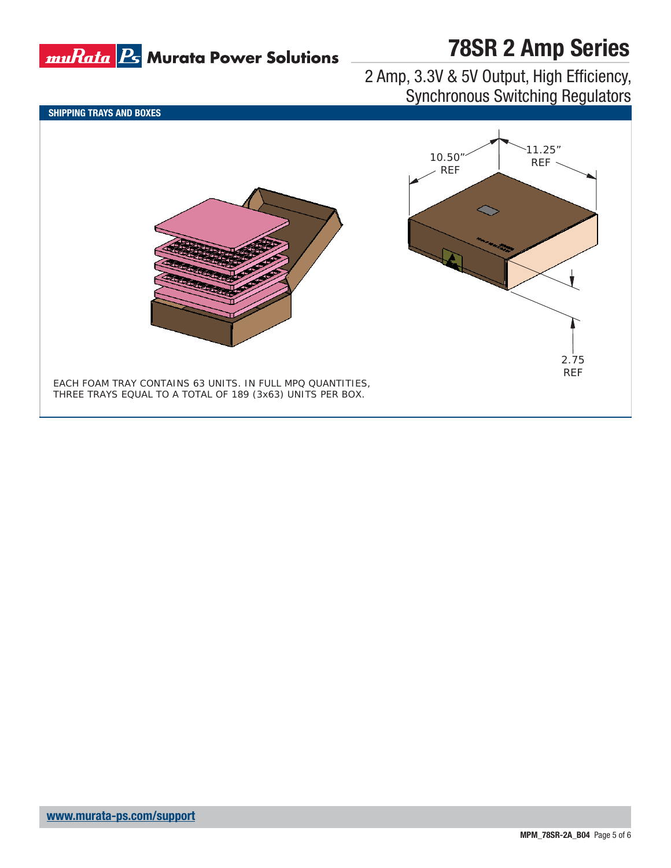

# **78SR 2 Amp Series**

### 2 Amp, 3.3V & 5V Output, High Efficiency, Synchronous Switching Regulators